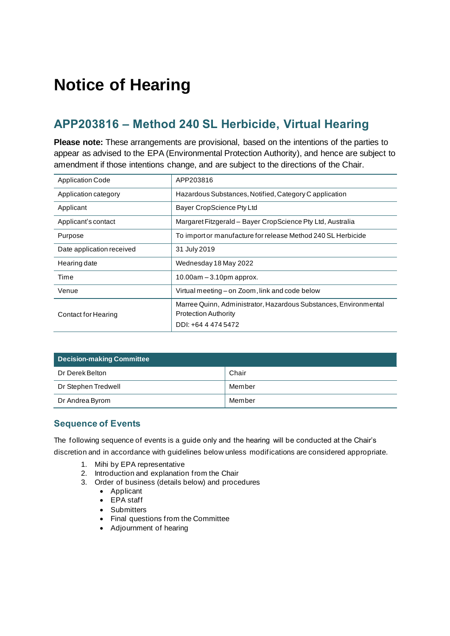# **Notice of Hearing**

# **APP203816 – Method 240 SL Herbicide, Virtual Hearing**

**Please note:** These arrangements are provisional, based on the intentions of the parties to appear as advised to the EPA (Environmental Protection Authority), and hence are subject to amendment if those intentions change, and are subject to the directions of the Chair.

| <b>Application Code</b>   | APP203816                                                                                                              |  |
|---------------------------|------------------------------------------------------------------------------------------------------------------------|--|
| Application category      | Hazardous Substances, Notified, Category C application                                                                 |  |
| Applicant                 | Bayer CropScience Pty Ltd                                                                                              |  |
| Applicant's contact       | Margaret Fitzgerald - Bayer CropScience Pty Ltd, Australia                                                             |  |
| Purpose                   | To import or manufacture for release Method 240 SL Herbicide                                                           |  |
| Date application received | 31 July 2019                                                                                                           |  |
| Hearing date              | Wednesday 18 May 2022                                                                                                  |  |
| Time                      | 10.00am $-3.10$ pm approx.                                                                                             |  |
| Venue                     | Virtual meeting – on Zoom, link and code below                                                                         |  |
| Contact for Hearing       | Marree Quinn, Administrator, Hazardous Substances, Environmental<br><b>Protection Authority</b><br>DDI: +64 4 474 5472 |  |

| <b>Decision-making Committee</b> |        |  |
|----------------------------------|--------|--|
| Dr Derek Belton                  | Chair  |  |
| Dr Stephen Tredwell              | Member |  |
| Dr Andrea Byrom                  | Member |  |

#### **Sequence of Events**

The following sequence of events is a guide only and the hearing will be conducted at the Chair's discretion and in accordance with guidelines below unless modifications are considered appropriate.

- 1. Mihi by EPA representative
- 2. Introduction and explanation from the Chair
- 3. Order of business (details below) and procedures
	- Applicant
	- EPA staff
	- Submitters
	- Final questions from the Committee
	- Adjournment of hearing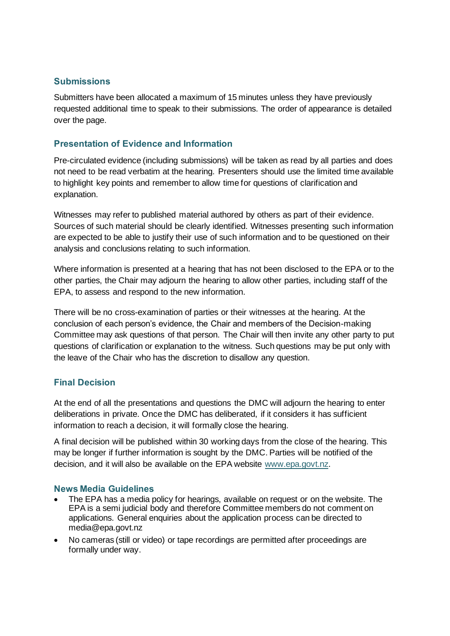#### **Submissions**

Submitters have been allocated a maximum of 15 minutes unless they have previously requested additional time to speak to their submissions. The order of appearance is detailed over the page.

#### **Presentation of Evidence and Information**

Pre-circulated evidence (including submissions) will be taken as read by all parties and does not need to be read verbatim at the hearing. Presenters should use the limited time available to highlight key points and remember to allow time for questions of clarification and explanation.

Witnesses may refer to published material authored by others as part of their evidence. Sources of such material should be clearly identified. Witnesses presenting such information are expected to be able to justify their use of such information and to be questioned on their analysis and conclusions relating to such information.

Where information is presented at a hearing that has not been disclosed to the EPA or to the other parties, the Chair may adjourn the hearing to allow other parties, including staff of the EPA, to assess and respond to the new information.

There will be no cross-examination of parties or their witnesses at the hearing. At the conclusion of each person's evidence, the Chair and members of the Decision-making Committee may ask questions of that person. The Chair will then invite any other party to put questions of clarification or explanation to the witness. Such questions may be put only with the leave of the Chair who has the discretion to disallow any question.

## **Final Decision**

At the end of all the presentations and questions the DMC will adjourn the hearing to enter deliberations in private. Once the DMC has deliberated, if it considers it has sufficient information to reach a decision, it will formally close the hearing.

A final decision will be published within 30 working days from the close of the hearing. This may be longer if further information is sought by the DMC. Parties will be notified of the decision, and it will also be available on the EPA website [www.epa.govt.nz.](http://www.epa.govt.nz/)

#### **News Media Guidelines**

- The EPA has a media policy for hearings, available on request or on the website. The EPA is a semi judicial body and therefore Committee members do not comment on applications. General enquiries about the application process can be directed to media@epa.govt.nz
- No cameras (still or video) or tape recordings are permitted after proceedings are formally under way.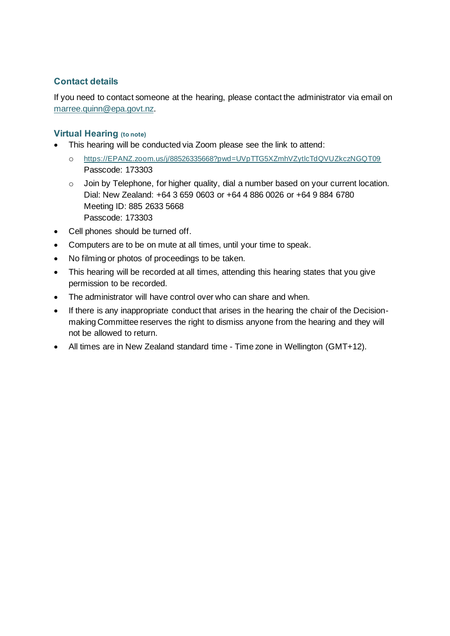# **Contact details**

If you need to contact someone at the hearing, please contact the administrator via email on [marree.quinn@epa.govt.nz.](mailto:marree.quinn@epa.govt.nz)

#### **Virtual Hearing (to note)**

- This hearing will be conducted via Zoom please see the link to attend:
	- o [https://EPANZ.zoom.us/j/88526335668?pwd=UVpTTG5XZmhVZytlcTdQVUZkczNGQT09](https://epanz.zoom.us/j/88526335668?pwd=UVpTTG5XZmhVZytlcTdQVUZkczNGQT09) Passcode: 173303
	- o Join by Telephone, for higher quality, dial a number based on your current location. Dial: New Zealand: +64 3 659 0603 or +64 4 886 0026 or +64 9 884 6780 Meeting ID: 885 2633 5668 Passcode: 173303
- Cell phones should be turned off.
- Computers are to be on mute at all times, until your time to speak.
- No filming or photos of proceedings to be taken.
- This hearing will be recorded at all times, attending this hearing states that you give permission to be recorded.
- The administrator will have control over who can share and when.
- If there is any inappropriate conduct that arises in the hearing the chair of the Decisionmaking Committee reserves the right to dismiss anyone from the hearing and they will not be allowed to return.
- All times are in New Zealand standard time Time zone in Wellington (GMT+12).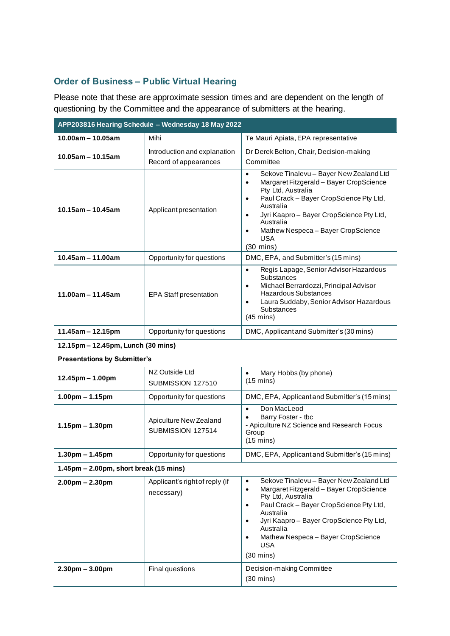# **Order of Business – Public Virtual Hearing**

Please note that these are approximate session times and are dependent on the length of questioning by the Committee and the appearance of submitters at the hearing.

| APP203816 Hearing Schedule - Wednesday 18 May 2022        |                                                       |                                                                                                                                                                                                                                                                                                                                                                       |  |  |
|-----------------------------------------------------------|-------------------------------------------------------|-----------------------------------------------------------------------------------------------------------------------------------------------------------------------------------------------------------------------------------------------------------------------------------------------------------------------------------------------------------------------|--|--|
| 10.00am – 10.05am                                         | Mihi                                                  | Te Mauri Apiata, EPA representative                                                                                                                                                                                                                                                                                                                                   |  |  |
| $10.05$ am - 10.15am                                      | Introduction and explanation<br>Record of appearances | Dr Derek Belton, Chair, Decision-making<br>Committee                                                                                                                                                                                                                                                                                                                  |  |  |
| 10.15am - 10.45am                                         | Applicantpresentation                                 | Sekove Tinalevu - Bayer New Zealand Ltd<br>$\bullet$<br>Margaret Fitzgerald - Bayer CropScience<br>$\bullet$<br>Pty Ltd, Australia<br>Paul Crack - Bayer CropScience Pty Ltd,<br>$\bullet$<br>Australia<br>Jyri Kaapro - Bayer CropScience Pty Ltd,<br>$\bullet$<br>Australia<br>Mathew Nespeca - Bayer CropScience<br>$\bullet$<br><b>USA</b><br>$(30 \text{ mins})$ |  |  |
| $10.45$ am - 11.00am                                      | Opportunity for questions                             | DMC, EPA, and Submitter's (15 mins)                                                                                                                                                                                                                                                                                                                                   |  |  |
| $11.00am - 11.45am$                                       | <b>EPA Staff presentation</b>                         | Regis Lapage, Senior Advisor Hazardous<br>$\bullet$<br>Substances<br>Michael Berrardozzi, Principal Advisor<br>$\bullet$<br><b>Hazardous Substances</b><br>Laura Suddaby, Senior Advisor Hazardous<br>$\bullet$<br>Substances<br>$(45 \text{ mins})$                                                                                                                  |  |  |
| $11.45$ am - 12.15pm                                      | Opportunity for questions                             | DMC, Applicant and Submitter's (30 mins)                                                                                                                                                                                                                                                                                                                              |  |  |
| 12.15pm - 12.45pm, Lunch (30 mins)                        |                                                       |                                                                                                                                                                                                                                                                                                                                                                       |  |  |
| <b>Presentations by Submitter's</b>                       |                                                       |                                                                                                                                                                                                                                                                                                                                                                       |  |  |
| 12.45pm - 1.00pm                                          | NZ Outside Ltd<br>SUBMISSION 127510                   | Mary Hobbs (by phone)<br>$\bullet$<br>$(15 \text{ mins})$                                                                                                                                                                                                                                                                                                             |  |  |
| $1.00pm - 1.15pm$                                         | Opportunity for questions                             | DMC, EPA, Applicant and Submitter's (15 mins)                                                                                                                                                                                                                                                                                                                         |  |  |
| $1.15$ pm – 1.30pm                                        | Apiculture New Zealand<br>SUBMISSION 127514           | Don MacLeod<br>$\bullet$<br>Barry Foster - tbc<br>$\bullet$<br>- Apiculture NZ Science and Research Focus<br>Group<br>$(15 \text{ mins})$                                                                                                                                                                                                                             |  |  |
| $1.30pm - 1.45pm$                                         | Opportunity for questions                             | DMC, EPA, Applicant and Submitter's (15 mins)                                                                                                                                                                                                                                                                                                                         |  |  |
| $1.45 \text{pm} - 2.00 \text{pm}$ , short break (15 mins) |                                                       |                                                                                                                                                                                                                                                                                                                                                                       |  |  |
| $2.00pm - 2.30pm$                                         | Applicant's right of reply (if<br>necessary)          | Sekove Tinalevu - Bayer New Zealand Ltd<br>$\bullet$<br>Margaret Fitzgerald - Bayer CropScience<br>$\bullet$<br>Pty Ltd, Australia<br>Paul Crack - Bayer CropScience Pty Ltd,<br>٠<br>Australia<br>Jyri Kaapro - Bayer CropScience Pty Ltd,<br>$\bullet$<br>Australia<br>Mathew Nespeca - Bayer CropScience<br><b>USA</b><br>$(30 \text{ mins})$                      |  |  |
| $2.30 \text{pm} - 3.00 \text{pm}$                         | Final questions                                       | Decision-making Committee<br>$(30 \text{ mins})$                                                                                                                                                                                                                                                                                                                      |  |  |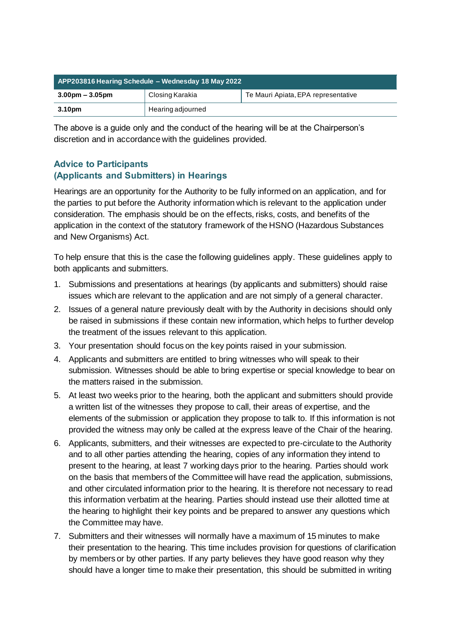| APP203816 Hearing Schedule - Wednesday 18 May 2022 |                   |                                     |  |  |
|----------------------------------------------------|-------------------|-------------------------------------|--|--|
| $3.00 \text{pm} - 3.05 \text{pm}$                  | Closing Karakia   | Te Mauri Apiata, EPA representative |  |  |
| 3.10pm                                             | Hearing adjourned |                                     |  |  |

The above is a guide only and the conduct of the hearing will be at the Chairperson's discretion and in accordance with the guidelines provided.

## **Advice to Participants (Applicants and Submitters) in Hearings**

Hearings are an opportunity for the Authority to be fully informed on an application, and for the parties to put before the Authority information which is relevant to the application under consideration. The emphasis should be on the effects, risks, costs, and benefits of the application in the context of the statutory framework of the HSNO (Hazardous Substances and New Organisms) Act.

To help ensure that this is the case the following guidelines apply. These guidelines apply to both applicants and submitters.

- 1. Submissions and presentations at hearings (by applicants and submitters) should raise issues which are relevant to the application and are not simply of a general character.
- 2. Issues of a general nature previously dealt with by the Authority in decisions should only be raised in submissions if these contain new information, which helps to further develop the treatment of the issues relevant to this application.
- 3. Your presentation should focus on the key points raised in your submission.
- 4. Applicants and submitters are entitled to bring witnesses who will speak to their submission. Witnesses should be able to bring expertise or special knowledge to bear on the matters raised in the submission.
- 5. At least two weeks prior to the hearing, both the applicant and submitters should provide a written list of the witnesses they propose to call, their areas of expertise, and the elements of the submission or application they propose to talk to. If this information is not provided the witness may only be called at the express leave of the Chair of the hearing.
- 6. Applicants, submitters, and their witnesses are expected to pre-circulate to the Authority and to all other parties attending the hearing, copies of any information they intend to present to the hearing, at least 7 working days prior to the hearing. Parties should work on the basis that members of the Committee will have read the application, submissions, and other circulated information prior to the hearing. It is therefore not necessary to read this information verbatim at the hearing. Parties should instead use their allotted time at the hearing to highlight their key points and be prepared to answer any questions which the Committee may have.
- 7. Submitters and their witnesses will normally have a maximum of 15 minutes to make their presentation to the hearing. This time includes provision for questions of clarification by members or by other parties. If any party believes they have good reason why they should have a longer time to make their presentation, this should be submitted in writing